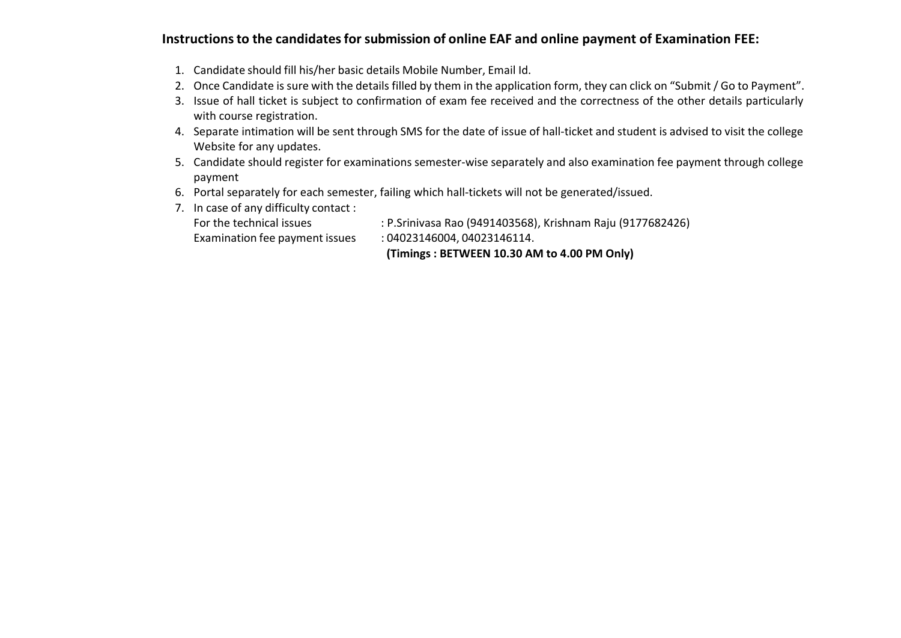## **Instructions to the candidates for submission of online EAF and online payment of Examination FEE:**

- 1. Candidate should fill his/her basic details Mobile Number, Email Id.
- 2. Once Candidate is sure with the details filled by them in the application form, they can click on "Submit / Go to Payment".
- 3. Issue of hall ticket is subject to confirmation of exam fee received and the correctness of the other details particularly with course registration.
- 4. Separate intimation will be sent through SMS for the date of issue of hall‐ticket and student is advised to visit the college Website for any updates.
- 5. Candidate should register for examinations semester‐wise separately and also examination fee payment through college payment
- 6. Portal separately for each semester, failing which hall‐tickets will not be generated/issued.
- 7. In case of any difficulty contact :

| For the technical issues | : P.Srinivasa Rao (9491403568), Krishnam Raju (9177682426) |
|--------------------------|------------------------------------------------------------|
|                          |                                                            |

Examination fee payment issues : 04023146004, 04023146114.

 **(Timings : BETWEEN 10.30 AM to 4.00 PM Only)**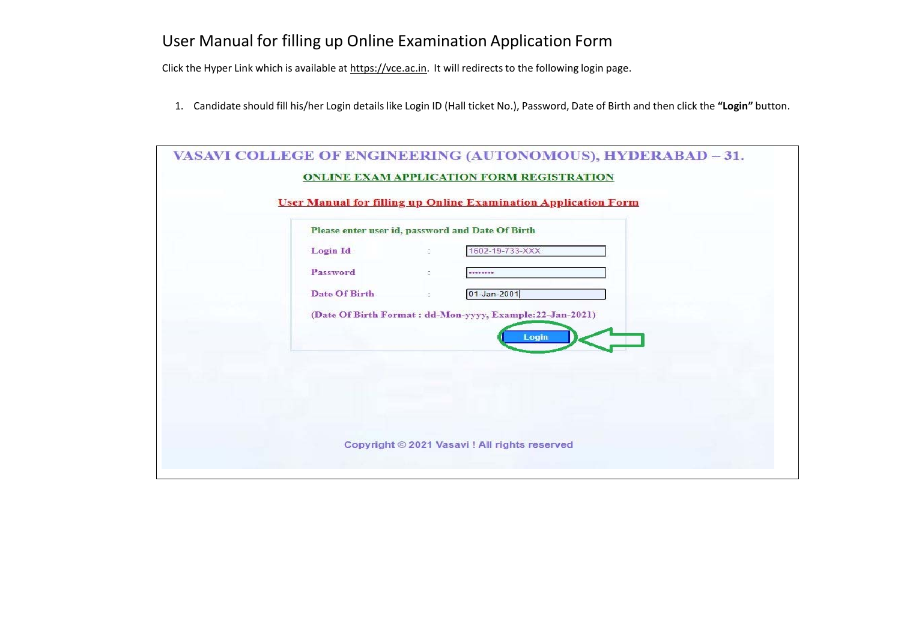## User Manual for filling up Online Examination Application Form

Click the Hyper Link which is available at https://vce.ac.in. It will redirects to the following login page.

1. Candidate should fill his/her Login details like Login ID (Hall ticket No.), Password, Date of Birth and then click the **"Login"** button.

| Please enter user id, password and Date Of Birth |    |                                                                    |
|--------------------------------------------------|----|--------------------------------------------------------------------|
| <b>Login Id</b>                                  | C. | 1602-19-733-XXX                                                    |
| Password                                         | ÷  | ********                                                           |
| Date Of Birth                                    |    | $01 - Jan - 2001$                                                  |
|                                                  |    | (Date Of Birth Format: dd-Mon-yyyy, Example: 22-Jan-2021)<br>Login |
|                                                  |    |                                                                    |
|                                                  |    |                                                                    |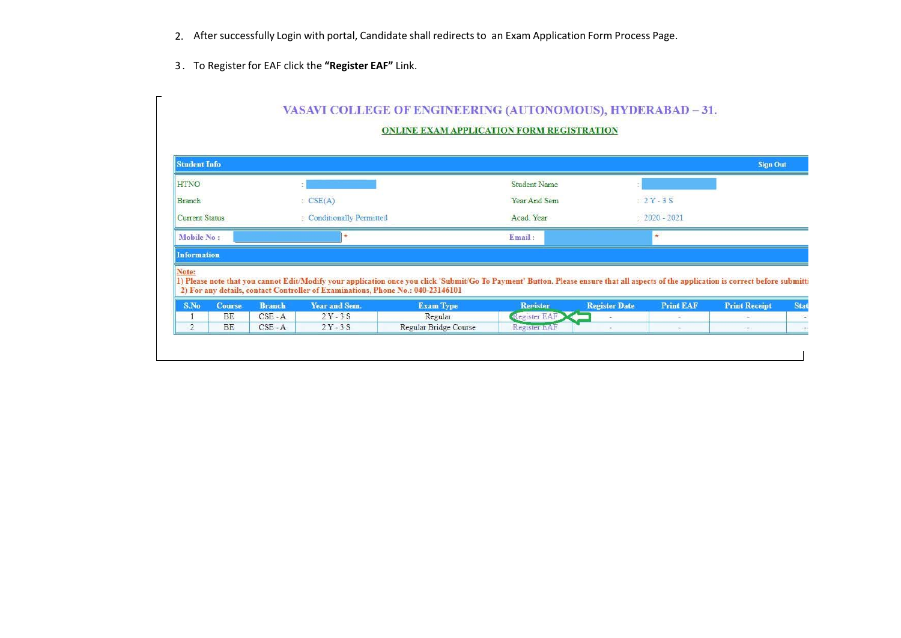- 2. After successfully Login with portal, Candidate shall redirects to an Exam Application Form Process Page.
- 3 . To Register for EAF click the **"Register EAF"** Link.

 $\blacksquare$ 

| <b>Student Info</b>   |                            |                            |                                 |                                                                                                                                                                                                                                                                           |                                 |                      |                  | <b>Sign Out</b>      |             |
|-----------------------|----------------------------|----------------------------|---------------------------------|---------------------------------------------------------------------------------------------------------------------------------------------------------------------------------------------------------------------------------------------------------------------------|---------------------------------|----------------------|------------------|----------------------|-------------|
| <b>HTNO</b>           |                            |                            | $\mathcal{F}_i$                 |                                                                                                                                                                                                                                                                           | <b>Student Name</b>             |                      |                  |                      |             |
| <b>Branch</b>         | CSE(A)                     |                            | Year And Sem                    |                                                                                                                                                                                                                                                                           | $2Y-3S$                         |                      |                  |                      |             |
| <b>Current Status</b> |                            | : Conditionally Permitted  |                                 |                                                                                                                                                                                                                                                                           | Acad, Year                      |                      | $: 2020 - 2021$  |                      |             |
| Mobile No:            |                            |                            |                                 |                                                                                                                                                                                                                                                                           | Email:                          |                      |                  |                      |             |
|                       |                            |                            |                                 |                                                                                                                                                                                                                                                                           |                                 |                      |                  |                      |             |
| <b>Information</b>    |                            |                            |                                 |                                                                                                                                                                                                                                                                           |                                 |                      |                  |                      |             |
| Note:                 |                            |                            |                                 | 1) Please note that you cannot Edit/Modify your application once you click 'Submit/Go To Payment' Button. Please ensure that all aspects of the application is correct before submitti<br>2) For any details, contact Controller of Examinations, Phone No.: 040-23146101 |                                 |                      |                  |                      |             |
| S.No                  | <b>Course</b><br><b>BE</b> | <b>Branch</b><br>$CSE - A$ | <b>Year and Sem.</b><br>$2Y-3S$ | <b>Exam Type</b><br>Regular                                                                                                                                                                                                                                               | <b>Register</b><br>Register EAF | <b>Register Date</b> | <b>Print EAF</b> | <b>Print Receipt</b> | <b>Stat</b> |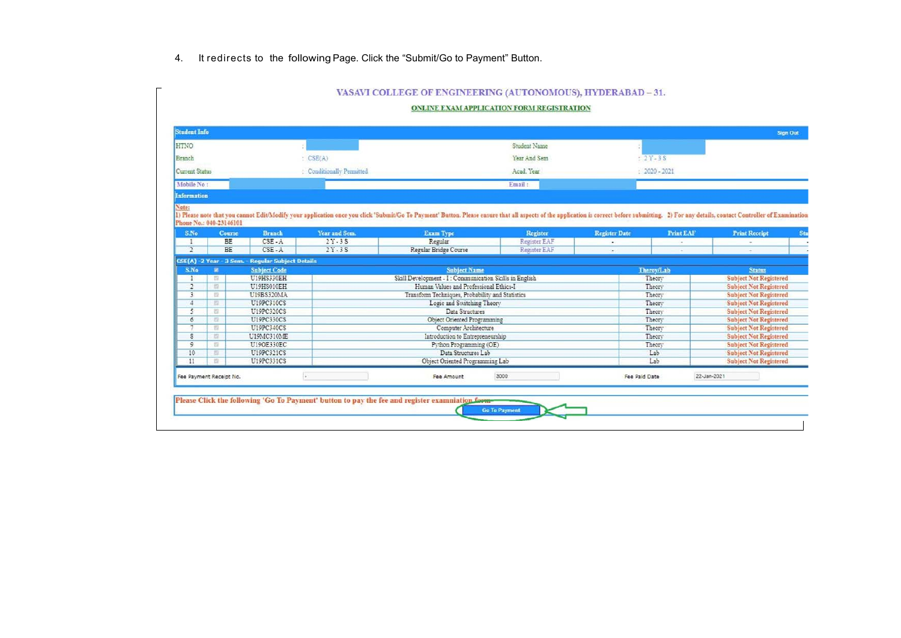## 4. It redirects to the following Page. Click the "Submit/Go to Payment" Button.

| <b>Student Info</b>   |                         |                                                   |                           |                                                                                                                                                                                                                                |              |                      |                     |                      | <b>Sign Out</b>               |
|-----------------------|-------------------------|---------------------------------------------------|---------------------------|--------------------------------------------------------------------------------------------------------------------------------------------------------------------------------------------------------------------------------|--------------|----------------------|---------------------|----------------------|-------------------------------|
| <b>HTNO</b>           |                         |                                                   |                           |                                                                                                                                                                                                                                | Student Name |                      |                     |                      |                               |
| Branch                |                         |                                                   | CSE(A)                    |                                                                                                                                                                                                                                | Year And Sem |                      | $2Y-3S$             |                      |                               |
| <b>Current Status</b> |                         |                                                   | : Conditionally Permitted |                                                                                                                                                                                                                                | Acad, Year   |                      | $: 2020 - 2021$     |                      |                               |
| Mobile No:            |                         |                                                   |                           |                                                                                                                                                                                                                                |              |                      |                     |                      |                               |
| Information           |                         |                                                   |                           |                                                                                                                                                                                                                                | Email:       |                      |                     |                      |                               |
| Note:                 |                         |                                                   |                           |                                                                                                                                                                                                                                |              |                      |                     |                      |                               |
|                       | Phone No.: 040-23146101 |                                                   |                           | 1) Please note that you cannot Edit/Modify your application once you click 'Submit/Go To Payment' Button. Please ensure that all aspects of the application is correct before submitting. 2) For any details, contact Controll |              |                      |                     |                      |                               |
| <b>S.No</b>           | <b>Course</b>           | <b>Branch</b>                                     | Year and Sem.             | <b>Exam Type</b>                                                                                                                                                                                                               | Register     | <b>Register Date</b> | <b>Print EAF</b>    | <b>Print Receipt</b> |                               |
| $\mathbf{1}$          | <b>BE</b>               | $CSE - A$                                         | $2Y-3S$                   | Regular                                                                                                                                                                                                                        | Register EAF | $\sim$               |                     |                      |                               |
| $\overline{2}$        | <b>BE</b>               | $CSE - A$                                         | $2Y - 3S$                 | Regular Bridge Course                                                                                                                                                                                                          | Register EAF |                      |                     |                      |                               |
|                       |                         | CSE(A) -2 Year - 3 Sem. - Regular Subject Details |                           |                                                                                                                                                                                                                                |              |                      |                     |                      |                               |
| S.No                  | 窗                       | <b>Subject Code</b>                               |                           | <b>Subject Name</b>                                                                                                                                                                                                            |              |                      | Theroy/Lab          |                      | <b>Status</b>                 |
|                       | $\overline{u}$          | U19HS330EH                                        |                           | Skill Development - I: Communication Skills in English                                                                                                                                                                         |              |                      | Theory              |                      | <b>Subject Not Registered</b> |
| $\overline{2}$        | 12                      | U19HS010EH                                        |                           | Human Values and Professional Ethics-I                                                                                                                                                                                         |              |                      | Theory              |                      | <b>Subject Not Registered</b> |
| 3                     | 取                       | U19BS320MA                                        |                           | Transform Techniques, Probability and Statistics                                                                                                                                                                               |              |                      | Theory              |                      | <b>Subject Not Registered</b> |
| $\overline{4}$        | 互                       | U19PC310CS                                        |                           | Logic and Switching Theory                                                                                                                                                                                                     |              |                      | Theory              |                      | <b>Subject Not Registered</b> |
| 5                     | 四                       | U19PC320CS                                        |                           | Data Structures                                                                                                                                                                                                                |              |                      | Theory              |                      | <b>Subject Not Registered</b> |
| 6                     | 22                      | U19PC330CS                                        |                           | Object Oriented Programming                                                                                                                                                                                                    |              |                      | Theory              |                      | <b>Subject Not Registered</b> |
| $\overline{ }$        | 臣                       | U19PC340CS                                        |                           | Computer Architecture                                                                                                                                                                                                          |              |                      | Theory              |                      | <b>Subject Not Registered</b> |
| s                     | 互                       | U19MC310ME                                        |                           | Introduction to Entrepreneurship                                                                                                                                                                                               |              |                      | Theory              |                      | <b>Subject Not Registered</b> |
| $\mathbf{9}$          | 提                       | U190E330EC                                        |                           | Python Programming (OE)                                                                                                                                                                                                        |              |                      | Theory <sup>-</sup> |                      | <b>Subject Not Registered</b> |
| 10                    | 互                       | U19PC321CS                                        |                           | Data Structures Lab                                                                                                                                                                                                            |              |                      | Lab                 |                      | <b>Subject Not Registered</b> |
| 11                    | 设                       | U19PC331CS                                        |                           | Object Oriented Programming Lab                                                                                                                                                                                                |              |                      | Lab                 |                      | <b>Subject Not Registered</b> |
|                       | Fee Payment Receipt No. |                                                   |                           | Fee Amount                                                                                                                                                                                                                     | 3000         | Fee Paid Date        |                     | 22-Jan-2021          |                               |
|                       |                         |                                                   |                           |                                                                                                                                                                                                                                |              |                      |                     |                      |                               |

## VASAVI COLLEGE OF ENGINEERING (AUTONOMOUS) HVDERARAD - 31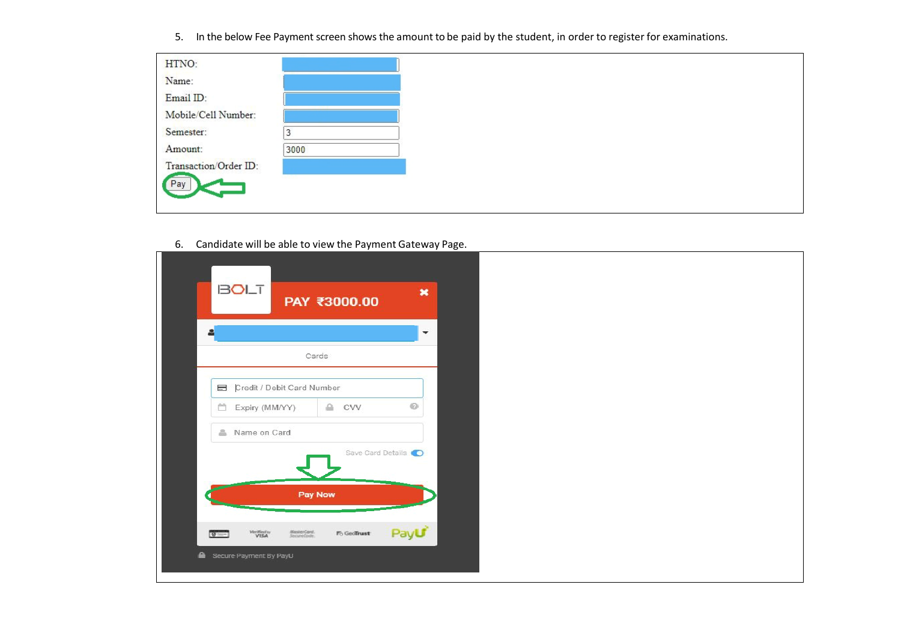5. In the below Fee Payment screen shows the amount to be paid by the student, in order to register for examinations.

| HTNO:                 |      |  |
|-----------------------|------|--|
| Name:                 |      |  |
| Email ID:             |      |  |
| Mobile/Cell Number:   |      |  |
| Semester:             |      |  |
| Amount:               | 3000 |  |
| Transaction/Order ID: |      |  |
| Pay                   |      |  |
|                       |      |  |

6. Candidate will be able to view the Payment Gateway Page.

| <b>BOLT</b>                                                | PAY ₹3000.00       | $\pmb{\times}$ |  |  |
|------------------------------------------------------------|--------------------|----------------|--|--|
| 은                                                          |                    | $\checkmark$   |  |  |
| Cards                                                      |                    |                |  |  |
| Credit / Debit Card Number                                 |                    |                |  |  |
| □ Expiry (MM/YY)                                           | $\triangle$<br>CVV | $\odot$        |  |  |
| Name on Card                                               |                    |                |  |  |
|                                                            | Save Card Details  |                |  |  |
|                                                            |                    |                |  |  |
| Pay Now                                                    |                    |                |  |  |
|                                                            |                    |                |  |  |
| Verified in<br>MasterCard.<br>SecureCode.<br>$\frac{1}{2}$ | Fo GeoTrust        | Payu           |  |  |